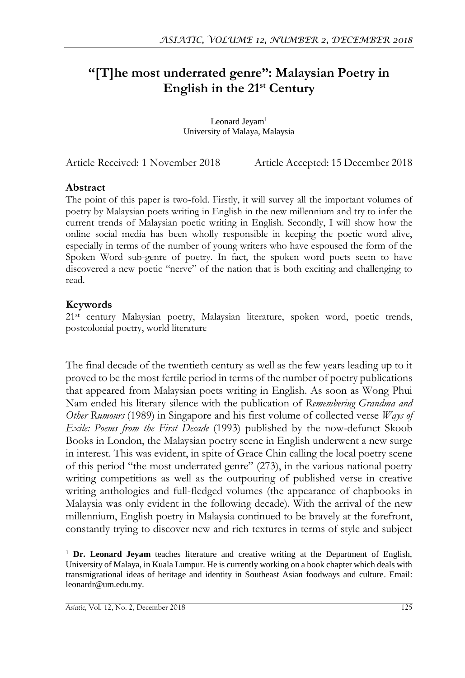# **"[T]he most underrated genre": Malaysian Poetry in English in the 21st Century**

Leonard Jeyam<sup>1</sup> University of Malaya, Malaysia

Article Received: 1 November 2018 Article Accepted: 15 December 2018

#### **Abstract**

The point of this paper is two-fold. Firstly, it will survey all the important volumes of poetry by Malaysian poets writing in English in the new millennium and try to infer the current trends of Malaysian poetic writing in English. Secondly, I will show how the online social media has been wholly responsible in keeping the poetic word alive, especially in terms of the number of young writers who have espoused the form of the Spoken Word sub-genre of poetry. In fact, the spoken word poets seem to have discovered a new poetic "nerve" of the nation that is both exciting and challenging to read.

### **Keywords**

 $\overline{a}$ 

21st century Malaysian poetry, Malaysian literature, spoken word, poetic trends, postcolonial poetry, world literature

The final decade of the twentieth century as well as the few years leading up to it proved to be the most fertile period in terms of the number of poetry publications that appeared from Malaysian poets writing in English. As soon as Wong Phui Nam ended his literary silence with the publication of *Remembering Grandma and Other Rumours* (1989) in Singapore and his first volume of collected verse *Ways of Exile: Poems from the First Decade* (1993) published by the now-defunct Skoob Books in London, the Malaysian poetry scene in English underwent a new surge in interest. This was evident, in spite of Grace Chin calling the local poetry scene of this period "the most underrated genre" (273), in the various national poetry writing competitions as well as the outpouring of published verse in creative writing anthologies and full-fledged volumes (the appearance of chapbooks in Malaysia was only evident in the following decade). With the arrival of the new millennium, English poetry in Malaysia continued to be bravely at the forefront, constantly trying to discover new and rich textures in terms of style and subject

<sup>1</sup> **Dr. Leonard Jeyam** teaches literature and creative writing at the Department of English, University of Malaya, in Kuala Lumpur. He is currently working on a book chapter which deals with transmigrational ideas of heritage and identity in Southeast Asian foodways and culture. Email: leonardr@um.edu.my.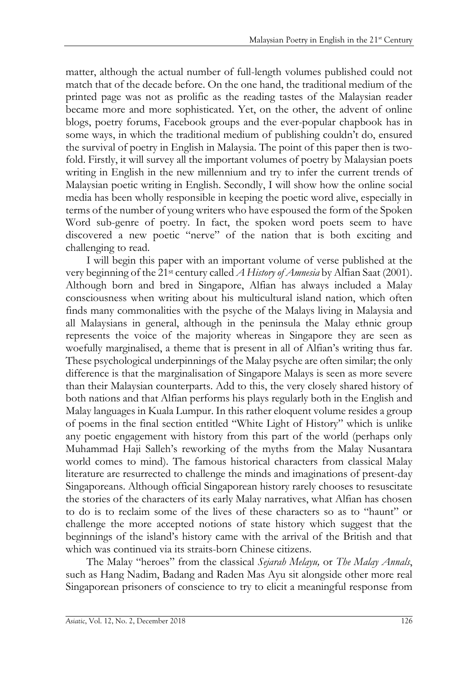matter, although the actual number of full-length volumes published could not match that of the decade before. On the one hand, the traditional medium of the printed page was not as prolific as the reading tastes of the Malaysian reader became more and more sophisticated. Yet, on the other, the advent of online blogs, poetry forums, Facebook groups and the ever-popular chapbook has in some ways, in which the traditional medium of publishing couldn't do, ensured the survival of poetry in English in Malaysia. The point of this paper then is twofold. Firstly, it will survey all the important volumes of poetry by Malaysian poets writing in English in the new millennium and try to infer the current trends of Malaysian poetic writing in English. Secondly, I will show how the online social media has been wholly responsible in keeping the poetic word alive, especially in terms of the number of young writers who have espoused the form of the Spoken Word sub-genre of poetry. In fact, the spoken word poets seem to have discovered a new poetic "nerve" of the nation that is both exciting and challenging to read.

I will begin this paper with an important volume of verse published at the very beginning of the 21st century called *A History of Amnesia* by Alfian Saat (2001). Although born and bred in Singapore, Alfian has always included a Malay consciousness when writing about his multicultural island nation, which often finds many commonalities with the psyche of the Malays living in Malaysia and all Malaysians in general, although in the peninsula the Malay ethnic group represents the voice of the majority whereas in Singapore they are seen as woefully marginalised, a theme that is present in all of Alfian's writing thus far. These psychological underpinnings of the Malay psyche are often similar; the only difference is that the marginalisation of Singapore Malays is seen as more severe than their Malaysian counterparts. Add to this, the very closely shared history of both nations and that Alfian performs his plays regularly both in the English and Malay languages in Kuala Lumpur. In this rather eloquent volume resides a group of poems in the final section entitled "White Light of History" which is unlike any poetic engagement with history from this part of the world (perhaps only Muhammad Haji Salleh's reworking of the myths from the Malay Nusantara world comes to mind). The famous historical characters from classical Malay literature are resurrected to challenge the minds and imaginations of present-day Singaporeans. Although official Singaporean history rarely chooses to resuscitate the stories of the characters of its early Malay narratives, what Alfian has chosen to do is to reclaim some of the lives of these characters so as to "haunt" or challenge the more accepted notions of state history which suggest that the beginnings of the island's history came with the arrival of the British and that which was continued via its straits-born Chinese citizens.

The Malay "heroes" from the classical *Sejarah Melayu,* or *The Malay Annals*, such as Hang Nadim, Badang and Raden Mas Ayu sit alongside other more real Singaporean prisoners of conscience to try to elicit a meaningful response from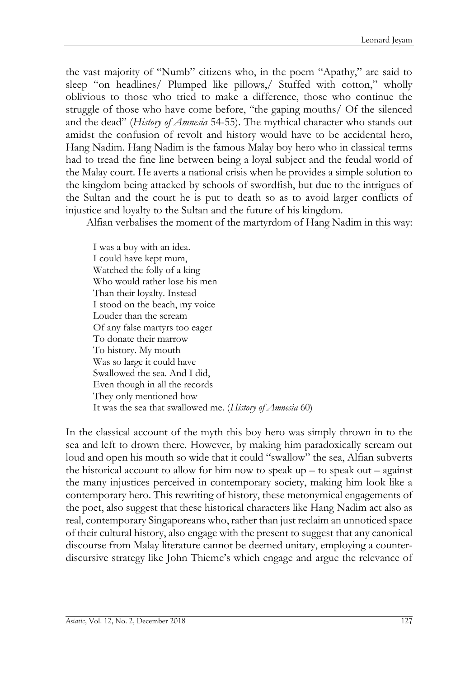the vast majority of "Numb" citizens who, in the poem "Apathy," are said to sleep "on headlines/ Plumped like pillows,/ Stuffed with cotton," wholly oblivious to those who tried to make a difference, those who continue the struggle of those who have come before, "the gaping mouths/ Of the silenced and the dead" (*History of Amnesia* 54-55). The mythical character who stands out amidst the confusion of revolt and history would have to be accidental hero, Hang Nadim. Hang Nadim is the famous Malay boy hero who in classical terms had to tread the fine line between being a loyal subject and the feudal world of the Malay court. He averts a national crisis when he provides a simple solution to the kingdom being attacked by schools of swordfish, but due to the intrigues of the Sultan and the court he is put to death so as to avoid larger conflicts of injustice and loyalty to the Sultan and the future of his kingdom.

Alfian verbalises the moment of the martyrdom of Hang Nadim in this way:

I was a boy with an idea. I could have kept mum, Watched the folly of a king Who would rather lose his men Than their loyalty. Instead I stood on the beach, my voice Louder than the scream Of any false martyrs too eager To donate their marrow To history. My mouth Was so large it could have Swallowed the sea. And I did, Even though in all the records They only mentioned how It was the sea that swallowed me. (*History of Amnesia* 60)

In the classical account of the myth this boy hero was simply thrown in to the sea and left to drown there. However, by making him paradoxically scream out loud and open his mouth so wide that it could "swallow" the sea, Alfian subverts the historical account to allow for him now to speak  $up - to$  speak out – against the many injustices perceived in contemporary society, making him look like a contemporary hero. This rewriting of history, these metonymical engagements of the poet, also suggest that these historical characters like Hang Nadim act also as real, contemporary Singaporeans who, rather than just reclaim an unnoticed space of their cultural history, also engage with the present to suggest that any canonical discourse from Malay literature cannot be deemed unitary, employing a counterdiscursive strategy like John Thieme's which engage and argue the relevance of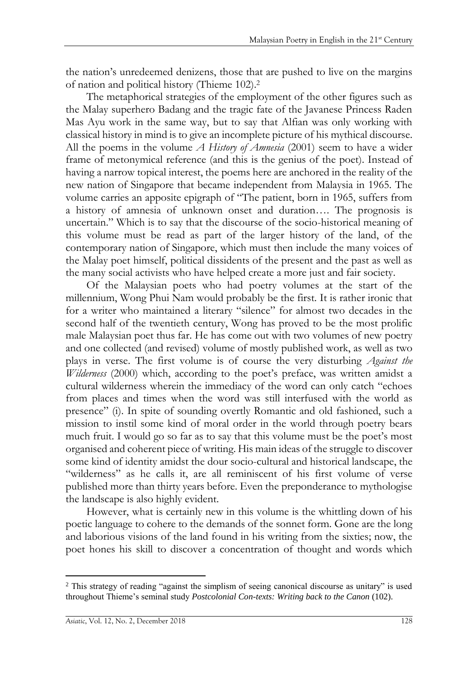the nation's unredeemed denizens, those that are pushed to live on the margins of nation and political history (Thieme 102).<sup>2</sup>

The metaphorical strategies of the employment of the other figures such as the Malay superhero Badang and the tragic fate of the Javanese Princess Raden Mas Ayu work in the same way, but to say that Alfian was only working with classical history in mind is to give an incomplete picture of his mythical discourse. All the poems in the volume *A History of Amnesia* (2001) seem to have a wider frame of metonymical reference (and this is the genius of the poet). Instead of having a narrow topical interest, the poems here are anchored in the reality of the new nation of Singapore that became independent from Malaysia in 1965. The volume carries an apposite epigraph of "The patient, born in 1965, suffers from a history of amnesia of unknown onset and duration…. The prognosis is uncertain." Which is to say that the discourse of the socio-historical meaning of this volume must be read as part of the larger history of the land, of the contemporary nation of Singapore, which must then include the many voices of the Malay poet himself, political dissidents of the present and the past as well as the many social activists who have helped create a more just and fair society.

Of the Malaysian poets who had poetry volumes at the start of the millennium, Wong Phui Nam would probably be the first. It is rather ironic that for a writer who maintained a literary "silence" for almost two decades in the second half of the twentieth century, Wong has proved to be the most prolific male Malaysian poet thus far. He has come out with two volumes of new poetry and one collected (and revised) volume of mostly published work, as well as two plays in verse. The first volume is of course the very disturbing *Against the Wilderness* (2000) which, according to the poet's preface, was written amidst a cultural wilderness wherein the immediacy of the word can only catch "echoes from places and times when the word was still interfused with the world as presence" (i). In spite of sounding overtly Romantic and old fashioned, such a mission to instil some kind of moral order in the world through poetry bears much fruit. I would go so far as to say that this volume must be the poet's most organised and coherent piece of writing. His main ideas of the struggle to discover some kind of identity amidst the dour socio-cultural and historical landscape, the "wilderness" as he calls it, are all reminiscent of his first volume of verse published more than thirty years before. Even the preponderance to mythologise the landscape is also highly evident.

However, what is certainly new in this volume is the whittling down of his poetic language to cohere to the demands of the sonnet form. Gone are the long and laborious visions of the land found in his writing from the sixties; now, the poet hones his skill to discover a concentration of thought and words which

 $\overline{a}$ <sup>2</sup> This strategy of reading "against the simplism of seeing canonical discourse as unitary" is used throughout Thieme's seminal study *Postcolonial Con-texts: Writing back to the Canon* (102).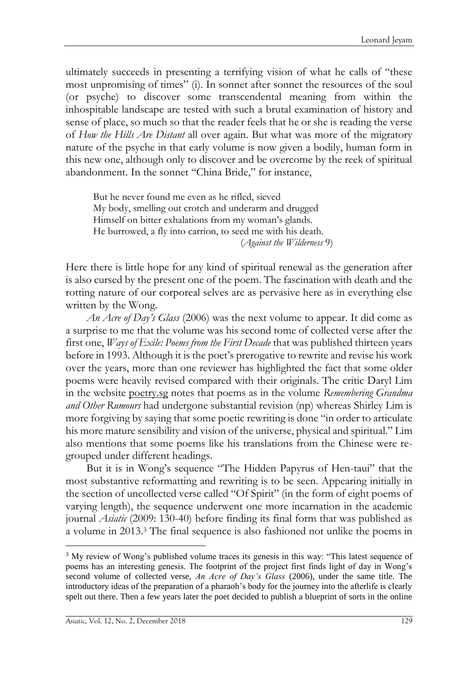ultimately succeeds in presenting a terrifying vision of what he calls of "these most unpromising of times" (i). In sonnet after sonnet the resources of the soul (or psyche) to discover some transcendental meaning from within the inhospitable landscape are tested with such a brutal examination of history and sense of place, so much so that the reader feels that he or she is reading the verse of *How the Hills Are Distant* all over again. But what was more of the migratory nature of the psyche in that early volume is now given a bodily, human form in this new one, although only to discover and be overcome by the reek of spiritual abandonment. In the sonnet "China Bride," for instance,

But he never found me even as he rifled, sieved My body, smelling out crotch and underarm and drugged Himself on bitter exhalations from my woman's glands. He burrowed, a fly into carrion, to seed me with his death. (*Against the Wilderness* 9)

Here there is little hope for any kind of spiritual renewal as the generation after is also cursed by the present one of the poem. The fascination with death and the rotting nature of our corporeal selves are as pervasive here as in everything else written by the Wong.

*An Acre of Day's Glass* (2006) was the next volume to appear. It did come as a surprise to me that the volume was his second tome of collected verse after the first one, *Ways of Exile: Poems from the First Decade* that was published thirteen years before in 1993. Although it is the poet's prerogative to rewrite and revise his work over the years, more than one reviewer has highlighted the fact that some older poems were heavily revised compared with their originals. The critic Daryl Lim in the website poetry.sg notes that poems as in the volume *Remembering Grandma and Other Rumours* had undergone substantial revision (np) whereas Shirley Lim is more forgiving by saying that some poetic rewriting is done "in order to articulate his more mature sensibility and vision of the universe, physical and spiritual." Lim also mentions that some poems like his translations from the Chinese were regrouped under different headings.

But it is in Wong's sequence "The Hidden Papyrus of Hen-taui" that the most substantive reformatting and rewriting is to be seen. Appearing initially in the section of uncollected verse called "Of Spirit" (in the form of eight poems of varying length), the sequence underwent one more incarnation in the academic journal *Asiatic* (2009: 130-40) before finding its final form that was published as a volume in 2013.<sup>3</sup> The final sequence is also fashioned not unlike the poems in

 $\overline{a}$ 

<sup>3</sup> My review of Wong's published volume traces its genesis in this way: "This latest sequence of poems has an interesting genesis. The footprint of the project first finds light of day in Wong's second volume of collected verse, *An Acre of Day's Glass* (2006), under the same title. The introductory ideas of the preparation of a pharaoh's body for the journey into the afterlife is clearly spelt out there. Then a few years later the poet decided to publish a blueprint of sorts in the online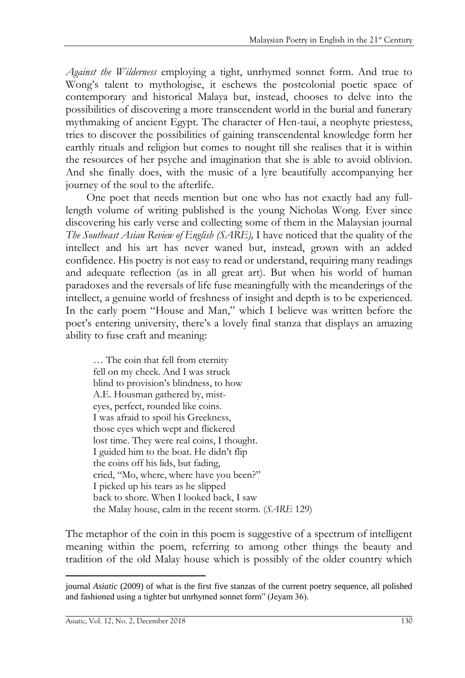*Against the Wilderness* employing a tight, unrhymed sonnet form. And true to Wong's talent to mythologise, it eschews the postcolonial poetic space of contemporary and historical Malaya but, instead, chooses to delve into the possibilities of discovering a more transcendent world in the burial and funerary mythmaking of ancient Egypt. The character of Hen-taui, a neophyte priestess, tries to discover the possibilities of gaining transcendental knowledge form her earthly rituals and religion but comes to nought till she realises that it is within the resources of her psyche and imagination that she is able to avoid oblivion. And she finally does, with the music of a lyre beautifully accompanying her journey of the soul to the afterlife.

One poet that needs mention but one who has not exactly had any fulllength volume of writing published is the young Nicholas Wong. Ever since discovering his early verse and collecting some of them in the Malaysian journal *The Southeast Asian Review of English (SARE),* I have noticed that the quality of the intellect and his art has never waned but, instead, grown with an added confidence. His poetry is not easy to read or understand, requiring many readings and adequate reflection (as in all great art). But when his world of human paradoxes and the reversals of life fuse meaningfully with the meanderings of the intellect, a genuine world of freshness of insight and depth is to be experienced. In the early poem "House and Man," which I believe was written before the poet's entering university, there's a lovely final stanza that displays an amazing ability to fuse craft and meaning:

… The coin that fell from eternity fell on my cheek. And I was struck blind to provision's blindness, to how A.E. Housman gathered by, misteyes, perfect, rounded like coins. I was afraid to spoil his Greekness, those eyes which wept and flickered lost time. They were real coins, I thought. I guided him to the boat. He didn't flip the coins off his lids, but fading, cried, "Mo, where, where have you been?" I picked up his tears as he slipped back to shore. When I looked back, I saw the Malay house, calm in the recent storm. (*SARE* 129)

The metaphor of the coin in this poem is suggestive of a spectrum of intelligent meaning within the poem, referring to among other things the beauty and tradition of the old Malay house which is possibly of the older country which

 $\overline{a}$ 

journal *Asiatic* (2009) of what is the first five stanzas of the current poetry sequence, all polished and fashioned using a tighter but unrhymed sonnet form" (Jeyam 36).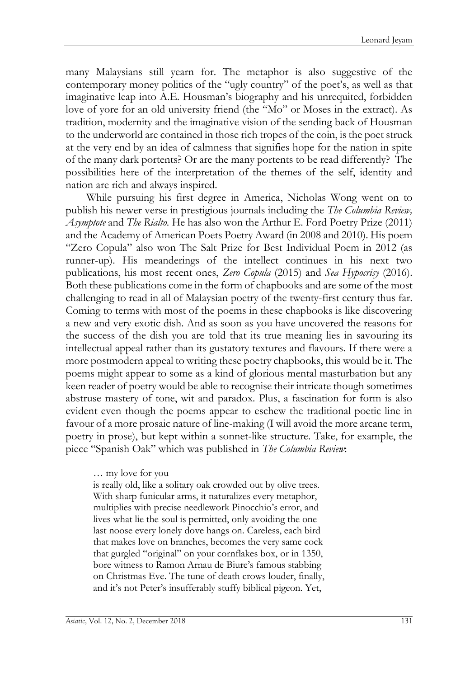many Malaysians still yearn for. The metaphor is also suggestive of the contemporary money politics of the "ugly country" of the poet's, as well as that imaginative leap into A.E. Housman's biography and his unrequited, forbidden love of yore for an old university friend (the "Mo" or Moses in the extract). As tradition, modernity and the imaginative vision of the sending back of Housman to the underworld are contained in those rich tropes of the coin, is the poet struck at the very end by an idea of calmness that signifies hope for the nation in spite of the many dark portents? Or are the many portents to be read differently? The possibilities here of the interpretation of the themes of the self, identity and nation are rich and always inspired.

While pursuing his first degree in America, Nicholas Wong went on to publish his newer verse in prestigious journals including the *The Columbia Review, Asymptote* and *The Rialto*. He has also won the Arthur E. Ford Poetry Prize (2011) and the Academy of American Poets Poetry Award (in 2008 and 2010). His poem "Zero Copula" also won The Salt Prize for Best Individual Poem in 2012 (as runner-up). His meanderings of the intellect continues in his next two publications, his most recent ones, *Zero Copula* (2015) and *Sea Hypocrisy* (2016). Both these publications come in the form of chapbooks and are some of the most challenging to read in all of Malaysian poetry of the twenty-first century thus far. Coming to terms with most of the poems in these chapbooks is like discovering a new and very exotic dish. And as soon as you have uncovered the reasons for the success of the dish you are told that its true meaning lies in savouring its intellectual appeal rather than its gustatory textures and flavours. If there were a more postmodern appeal to writing these poetry chapbooks, this would be it. The poems might appear to some as a kind of glorious mental masturbation but any keen reader of poetry would be able to recognise their intricate though sometimes abstruse mastery of tone, wit and paradox. Plus, a fascination for form is also evident even though the poems appear to eschew the traditional poetic line in favour of a more prosaic nature of line-making (I will avoid the more arcane term, poetry in prose), but kept within a sonnet-like structure. Take, for example, the piece "Spanish Oak" which was published in *The Columbia Review*:

#### … my love for you

is really old, like a solitary oak crowded out by olive trees. With sharp funicular arms, it naturalizes every metaphor, multiplies with precise needlework Pinocchio's error, and lives what lie the soul is permitted, only avoiding the one last noose every lonely dove hangs on. Careless, each bird that makes love on branches, becomes the very same cock that gurgled "original" on your cornflakes box, or in 1350, bore witness to Ramon Arnau de Biure's famous stabbing on Christmas Eve. The tune of death crows louder, finally, and it's not Peter's insufferably stuffy biblical pigeon. Yet,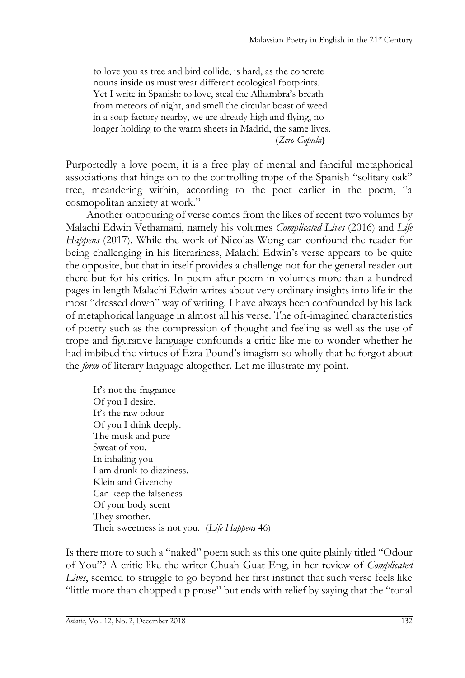to love you as tree and bird collide, is hard, as the concrete nouns inside us must wear different ecological footprints. Yet I write in Spanish: to love, steal the Alhambra's breath from meteors of night, and smell the circular boast of weed in a soap factory nearby, we are already high and flying, no longer holding to the warm sheets in Madrid, the same lives. (*Zero Copula***)**

Purportedly a love poem, it is a free play of mental and fanciful metaphorical associations that hinge on to the controlling trope of the Spanish "solitary oak" tree, meandering within, according to the poet earlier in the poem, "a cosmopolitan anxiety at work."

Another outpouring of verse comes from the likes of recent two volumes by Malachi Edwin Vethamani, namely his volumes *Complicated Lives* (2016) and *Life Happens* (2017). While the work of Nicolas Wong can confound the reader for being challenging in his literariness, Malachi Edwin's verse appears to be quite the opposite, but that in itself provides a challenge not for the general reader out there but for his critics. In poem after poem in volumes more than a hundred pages in length Malachi Edwin writes about very ordinary insights into life in the most "dressed down" way of writing. I have always been confounded by his lack of metaphorical language in almost all his verse. The oft-imagined characteristics of poetry such as the compression of thought and feeling as well as the use of trope and figurative language confounds a critic like me to wonder whether he had imbibed the virtues of Ezra Pound's imagism so wholly that he forgot about the *form* of literary language altogether. Let me illustrate my point.

It's not the fragrance Of you I desire. It's the raw odour Of you I drink deeply. The musk and pure Sweat of you. In inhaling you I am drunk to dizziness. Klein and Givenchy Can keep the falseness Of your body scent They smother. Their sweetness is not you. (*Life Happens* 46)

Is there more to such a "naked" poem such as this one quite plainly titled "Odour of You"? A critic like the writer Chuah Guat Eng, in her review of *Complicated Lives*, seemed to struggle to go beyond her first instinct that such verse feels like "little more than chopped up prose" but ends with relief by saying that the "tonal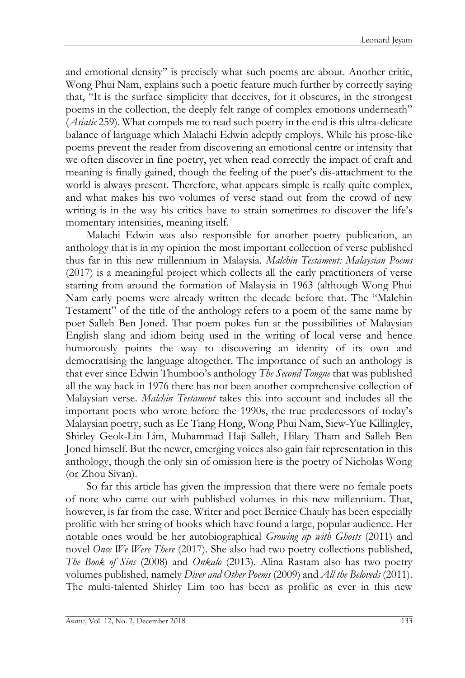and emotional density" is precisely what such poems are about. Another critic, Wong Phui Nam, explains such a poetic feature much further by correctly saying that, "It is the surface simplicity that deceives, for it obscures, in the strongest poems in the collection, the deeply felt range of complex emotions underneath" (*Asiatic* 259). What compels me to read such poetry in the end is this ultra-delicate balance of language which Malachi Edwin adeptly employs. While his prose-like poems prevent the reader from discovering an emotional centre or intensity that we often discover in fine poetry, yet when read correctly the impact of craft and meaning is finally gained, though the feeling of the poet's dis-attachment to the world is always present. Therefore, what appears simple is really quite complex, and what makes his two volumes of verse stand out from the crowd of new writing is in the way his critics have to strain sometimes to discover the life's momentary intensities, meaning itself.

Malachi Edwin was also responsible for another poetry publication, an anthology that is in my opinion the most important collection of verse published thus far in this new millennium in Malaysia. *Malchin Testament: Malaysian Poems* (2017) is a meaningful project which collects all the early practitioners of verse starting from around the formation of Malaysia in 1963 (although Wong Phui Nam early poems were already written the decade before that. The "Malchin Testament" of the title of the anthology refers to a poem of the same name by poet Salleh Ben Joned. That poem pokes fun at the possibilities of Malaysian English slang and idiom being used in the writing of local verse and hence humorously points the way to discovering an identity of its own and democratising the language altogether. The importance of such an anthology is that ever since Edwin Thumboo's anthology *The Second Tongue* that was published all the way back in 1976 there has not been another comprehensive collection of Malaysian verse. *Malchin Testament* takes this into account and includes all the important poets who wrote before the 1990s, the true predecessors of today's Malaysian poetry, such as Ee Tiang Hong, Wong Phui Nam, Siew-Yue Killingley, Shirley Geok-Lin Lim, Muhammad Haji Salleh, Hilary Tham and Salleh Ben Joned himself. But the newer, emerging voices also gain fair representation in this anthology, though the only sin of omission here is the poetry of Nicholas Wong (or Zhou Sivan).

So far this article has given the impression that there were no female poets of note who came out with published volumes in this new millennium. That, however, is far from the case. Writer and poet Bernice Chauly has been especially prolific with her string of books which have found a large, popular audience. Her notable ones would be her autobiographical *Growing up with Ghosts* (2011) and novel *Once We Were There* (2017). She also had two poetry collections published, *The Book of Sins* (2008) and *Onkalo* (2013). Alina Rastam also has two poetry volumes published, namely *Diver and Other Poems* (2009) and *All the Beloveds* (2011). The multi-talented Shirley Lim too has been as prolific as ever in this new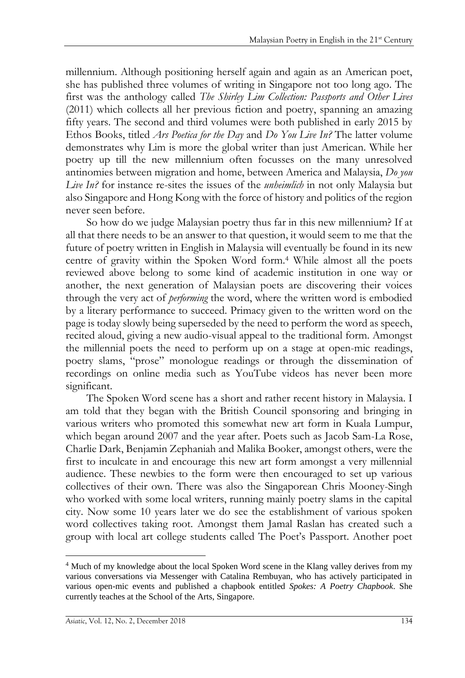millennium. Although positioning herself again and again as an American poet, she has published three volumes of writing in Singapore not too long ago. The first was the anthology called *The Shirley Lim Collection: Passports and Other Lives* (2011) which collects all her previous fiction and poetry, spanning an amazing fifty years. The second and third volumes were both published in early 2015 by Ethos Books, titled *Ars Poetica for the Day* and *Do You Live In?* The latter volume demonstrates why Lim is more the global writer than just American. While her poetry up till the new millennium often focusses on the many unresolved antinomies between migration and home, between America and Malaysia, *Do you Live In?* for instance re-sites the issues of the *unheimlich* in not only Malaysia but also Singapore and Hong Kong with the force of history and politics of the region never seen before.

So how do we judge Malaysian poetry thus far in this new millennium? If at all that there needs to be an answer to that question, it would seem to me that the future of poetry written in English in Malaysia will eventually be found in its new centre of gravity within the Spoken Word form.<sup>4</sup> While almost all the poets reviewed above belong to some kind of academic institution in one way or another, the next generation of Malaysian poets are discovering their voices through the very act of *performing* the word, where the written word is embodied by a literary performance to succeed. Primacy given to the written word on the page is today slowly being superseded by the need to perform the word as speech, recited aloud, giving a new audio-visual appeal to the traditional form. Amongst the millennial poets the need to perform up on a stage at open-mic readings, poetry slams, "prose" monologue readings or through the dissemination of recordings on online media such as YouTube videos has never been more significant.

The Spoken Word scene has a short and rather recent history in Malaysia. I am told that they began with the British Council sponsoring and bringing in various writers who promoted this somewhat new art form in Kuala Lumpur, which began around 2007 and the year after. Poets such as Jacob Sam-La Rose, Charlie Dark, Benjamin Zephaniah and Malika Booker, amongst others, were the first to inculcate in and encourage this new art form amongst a very millennial audience. These newbies to the form were then encouraged to set up various collectives of their own. There was also the Singaporean Chris Mooney-Singh who worked with some local writers, running mainly poetry slams in the capital city. Now some 10 years later we do see the establishment of various spoken word collectives taking root. Amongst them Jamal Raslan has created such a group with local art college students called The Poet's Passport. Another poet

 $\overline{a}$ <sup>4</sup> Much of my knowledge about the local Spoken Word scene in the Klang valley derives from my various conversations via Messenger with Catalina Rembuyan, who has actively participated in various open-mic events and published a chapbook entitled *Spokes: A Poetry Chapbook*. She currently teaches at the School of the Arts, Singapore.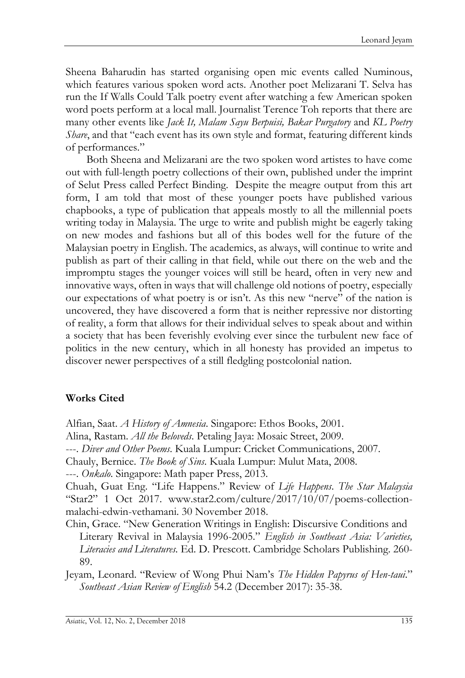Sheena Baharudin has started organising open mic events called Numinous, which features various spoken word acts. Another poet Melizarani T. Selva has run the If Walls Could Talk poetry event after watching a few American spoken word poets perform at a local mall. Journalist Terence Toh reports that there are many other events like *Jack It, Malam Sayu Berpuisi, Bakar Purgatory* and *KL Poetry Share*, and that "each event has its own style and format, featuring different kinds of performances."

Both Sheena and Melizarani are the two spoken word artistes to have come out with full-length poetry collections of their own, published under the imprint of Selut Press called Perfect Binding. Despite the meagre output from this art form, I am told that most of these younger poets have published various chapbooks, a type of publication that appeals mostly to all the millennial poets writing today in Malaysia. The urge to write and publish might be eagerly taking on new modes and fashions but all of this bodes well for the future of the Malaysian poetry in English. The academics, as always, will continue to write and publish as part of their calling in that field, while out there on the web and the impromptu stages the younger voices will still be heard, often in very new and innovative ways, often in ways that will challenge old notions of poetry, especially our expectations of what poetry is or isn't. As this new "nerve" of the nation is uncovered, they have discovered a form that is neither repressive nor distorting of reality, a form that allows for their individual selves to speak about and within a society that has been feverishly evolving ever since the turbulent new face of politics in the new century, which in all honesty has provided an impetus to discover newer perspectives of a still fledgling postcolonial nation.

## **Works Cited**

Alfian, Saat. *A History of Amnesia*. Singapore: Ethos Books, 2001.

Alina, Rastam. *All the Beloveds*. Petaling Jaya: Mosaic Street, 2009.

---. *Diver and Other Poems*. Kuala Lumpur: Cricket Communications, 2007.

Chauly, Bernice. *The Book of Sins*. Kuala Lumpur: Mulut Mata, 2008.

---. *Onkalo*. Singapore: Math paper Press, 2013.

Chuah, Guat Eng. "Life Happens." Review of *Life Happens*. *The Star Malaysia* "Star2" 1 Oct 2017. www.star2.com/culture/2017/10/07/poems-collectionmalachi-edwin-vethamani. 30 November 2018.

Chin, Grace. "New Generation Writings in English: Discursive Conditions and Literary Revival in Malaysia 1996-2005." *English in Southeast Asia: Varieties, Literacies and Literatures.* Ed. D. Prescott. Cambridge Scholars Publishing. 260- 89.

Jeyam, Leonard. "Review of Wong Phui Nam's *The Hidden Papyrus of Hen-taui*." *Southeast Asian Review of English* 54.2 (December 2017): 35-38.